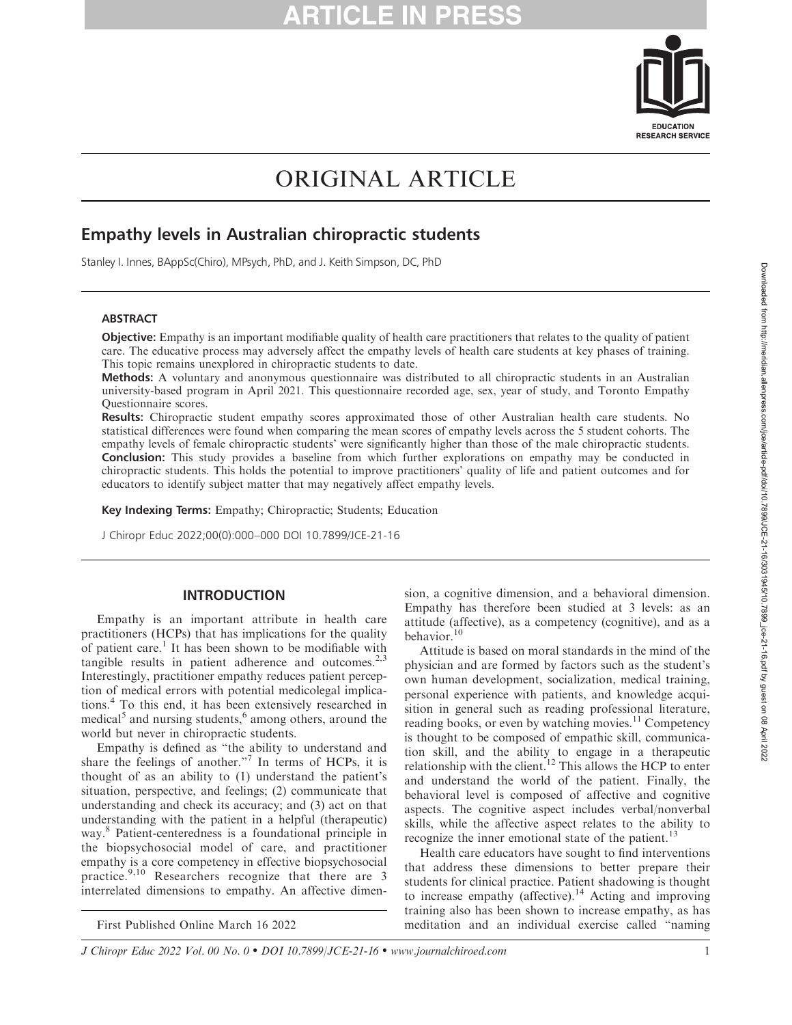

# ORIGINAL ARTICLE

# Empathy levels in Australian chiropractic students

Stanley I. Innes, BAppSc(Chiro), MPsych, PhD, and J. Keith Simpson, DC, PhD

#### ABSTRACT

Objective: Empathy is an important modifiable quality of health care practitioners that relates to the quality of patient care. The educative process may adversely affect the empathy levels of health care students at key phases of training. This topic remains unexplored in chiropractic students to date.

Methods: A voluntary and anonymous questionnaire was distributed to all chiropractic students in an Australian university-based program in April 2021. This questionnaire recorded age, sex, year of study, and Toronto Empathy Questionnaire scores.

Results: Chiropractic student empathy scores approximated those of other Australian health care students. No statistical differences were found when comparing the mean scores of empathy levels across the 5 student cohorts. The empathy levels of female chiropractic students' were significantly higher than those of the male chiropractic students. **Conclusion:** This study provides a baseline from which further explorations on empathy may be conducted in chiropractic students. This holds the potential to improve practitioners' quality of life and patient outcomes and for educators to identify subject matter that may negatively affect empathy levels.

Key Indexing Terms: Empathy; Chiropractic; Students; Education

J Chiropr Educ 2022;00(0):000–000 DOI 10.7899/JCE-21-16

#### INTRODUCTION

Empathy is an important attribute in health care practitioners (HCPs) that has implications for the quality of patient care.<sup>1</sup> It has been shown to be modifiable with tangible results in patient adherence and outcomes. $2,3$ Interestingly, practitioner empathy reduces patient perception of medical errors with potential medicolegal implications.<sup>4</sup> To this end, it has been extensively researched in medical<sup>5</sup> and nursing students,<sup>6</sup> among others, around the world but never in chiropractic students.

Empathy is defined as ''the ability to understand and share the feelings of another."<sup>7</sup> In terms of HCPs, it is thought of as an ability to (1) understand the patient's situation, perspective, and feelings; (2) communicate that understanding and check its accuracy; and (3) act on that understanding with the patient in a helpful (therapeutic) way.<sup>8</sup> Patient-centeredness is a foundational principle in the biopsychosocial model of care, and practitioner empathy is a core competency in effective biopsychosocial practice.<sup>9,10</sup> Researchers recognize that there are 3 interrelated dimensions to empathy. An affective dimen-

sion, a cognitive dimension, and a behavioral dimension. Empathy has therefore been studied at 3 levels: as an attitude (affective), as a competency (cognitive), and as a behavior.<sup>10</sup>

Attitude is based on moral standards in the mind of the physician and are formed by factors such as the student's own human development, socialization, medical training, personal experience with patients, and knowledge acquisition in general such as reading professional literature, reading books, or even by watching movies.<sup>11</sup> Competency is thought to be composed of empathic skill, communication skill, and the ability to engage in a therapeutic relationship with the client.<sup>12</sup> This allows the HCP to enter and understand the world of the patient. Finally, the behavioral level is composed of affective and cognitive aspects. The cognitive aspect includes verbal/nonverbal skills, while the affective aspect relates to the ability to recognize the inner emotional state of the patient.<sup>13</sup>

Health care educators have sought to find interventions that address these dimensions to better prepare their students for clinical practice. Patient shadowing is thought to increase empathy (affective).<sup>14</sup> Acting and improving training also has been shown to increase empathy, as has First Published Online March 16 2022 meditation and an individual exercise called ''naming

J Chiropr Educ 2022 Vol. 00 No. 0 • DOI 10.7899/JCE-21-16 • www.journalchiroed.com 1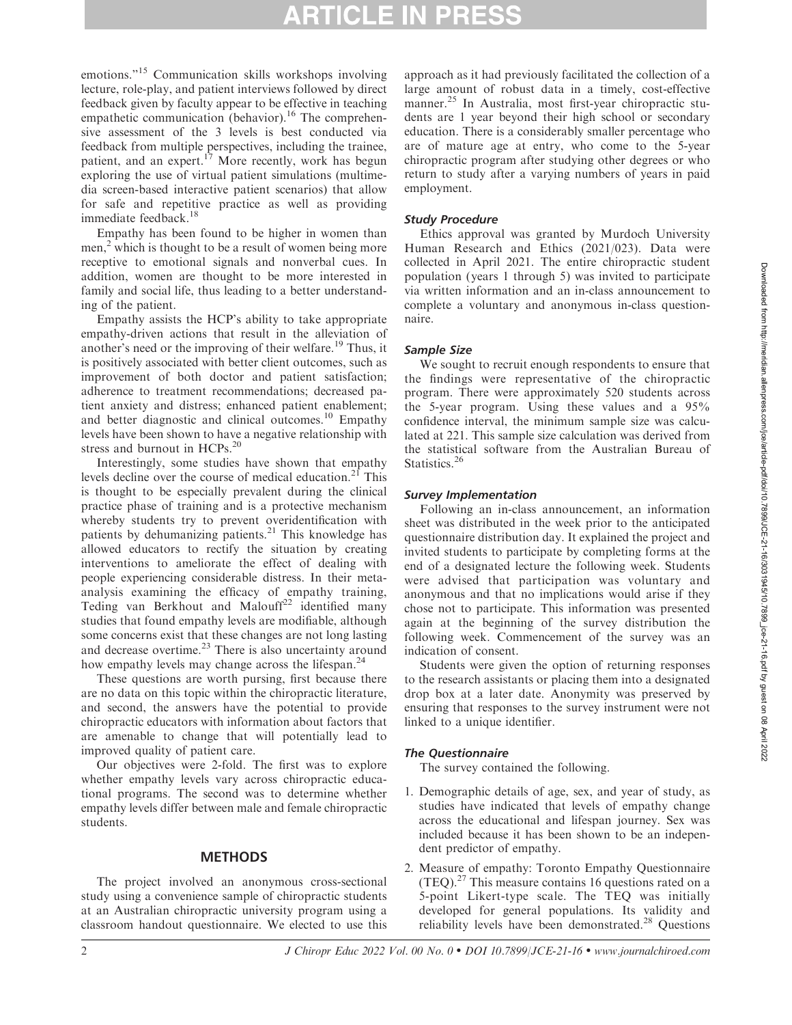emotions."<sup>15</sup> Communication skills workshops involving lecture, role-play, and patient interviews followed by direct feedback given by faculty appear to be effective in teaching empathetic communication (behavior).<sup>16</sup> The comprehensive assessment of the 3 levels is best conducted via feedback from multiple perspectives, including the trainee, patient, and an expert.<sup>17</sup> More recently, work has begun exploring the use of virtual patient simulations (multimedia screen-based interactive patient scenarios) that allow for safe and repetitive practice as well as providing immediate feedback.<sup>18</sup>

Empathy has been found to be higher in women than men, $<sup>2</sup>$  which is thought to be a result of women being more</sup> receptive to emotional signals and nonverbal cues. In addition, women are thought to be more interested in family and social life, thus leading to a better understanding of the patient.

Empathy assists the HCP's ability to take appropriate empathy-driven actions that result in the alleviation of another's need or the improving of their welfare.<sup>19</sup> Thus, it is positively associated with better client outcomes, such as improvement of both doctor and patient satisfaction; adherence to treatment recommendations; decreased patient anxiety and distress; enhanced patient enablement; and better diagnostic and clinical outcomes.<sup>10</sup> Empathy levels have been shown to have a negative relationship with stress and burnout in HCPs.<sup>20</sup>

Interestingly, some studies have shown that empathy levels decline over the course of medical education.<sup>21</sup> This is thought to be especially prevalent during the clinical practice phase of training and is a protective mechanism whereby students try to prevent overidentification with patients by dehumanizing patients.<sup>21</sup> This knowledge has allowed educators to rectify the situation by creating interventions to ameliorate the effect of dealing with people experiencing considerable distress. In their metaanalysis examining the efficacy of empathy training, Teding van Berkhout and Malouff<sup>22</sup> identified many studies that found empathy levels are modifiable, although some concerns exist that these changes are not long lasting and decrease overtime. $23$  There is also uncertainty around how empathy levels may change across the lifespan.<sup>24</sup>

These questions are worth pursing, first because there are no data on this topic within the chiropractic literature, and second, the answers have the potential to provide chiropractic educators with information about factors that are amenable to change that will potentially lead to improved quality of patient care.

Our objectives were 2-fold. The first was to explore whether empathy levels vary across chiropractic educational programs. The second was to determine whether empathy levels differ between male and female chiropractic students.

# **METHODS**

The project involved an anonymous cross-sectional study using a convenience sample of chiropractic students at an Australian chiropractic university program using a classroom handout questionnaire. We elected to use this approach as it had previously facilitated the collection of a large amount of robust data in a timely, cost-effective manner.<sup>25</sup> In Australia, most first-year chiropractic students are 1 year beyond their high school or secondary education. There is a considerably smaller percentage who are of mature age at entry, who come to the 5-year chiropractic program after studying other degrees or who return to study after a varying numbers of years in paid employment.

## Study Procedure

Ethics approval was granted by Murdoch University Human Research and Ethics (2021/023). Data were collected in April 2021. The entire chiropractic student population (years 1 through 5) was invited to participate via written information and an in-class announcement to complete a voluntary and anonymous in-class questionnaire.

# Sample Size

We sought to recruit enough respondents to ensure that the findings were representative of the chiropractic program. There were approximately 520 students across the 5-year program. Using these values and a 95% confidence interval, the minimum sample size was calculated at 221. This sample size calculation was derived from the statistical software from the Australian Bureau of Statistics.<sup>26</sup>

# Survey Implementation

Following an in-class announcement, an information sheet was distributed in the week prior to the anticipated questionnaire distribution day. It explained the project and invited students to participate by completing forms at the end of a designated lecture the following week. Students were advised that participation was voluntary and anonymous and that no implications would arise if they chose not to participate. This information was presented again at the beginning of the survey distribution the following week. Commencement of the survey was an indication of consent.

Students were given the option of returning responses to the research assistants or placing them into a designated drop box at a later date. Anonymity was preserved by ensuring that responses to the survey instrument were not linked to a unique identifier.

# The Questionnaire

The survey contained the following.

- 1. Demographic details of age, sex, and year of study, as studies have indicated that levels of empathy change across the educational and lifespan journey. Sex was included because it has been shown to be an independent predictor of empathy.
- 2. Measure of empathy: Toronto Empathy Questionnaire  $(TEQ).<sup>27</sup>$  This measure contains 16 questions rated on a 5-point Likert-type scale. The TEQ was initially developed for general populations. Its validity and reliability levels have been demonstrated.<sup>28</sup> Questions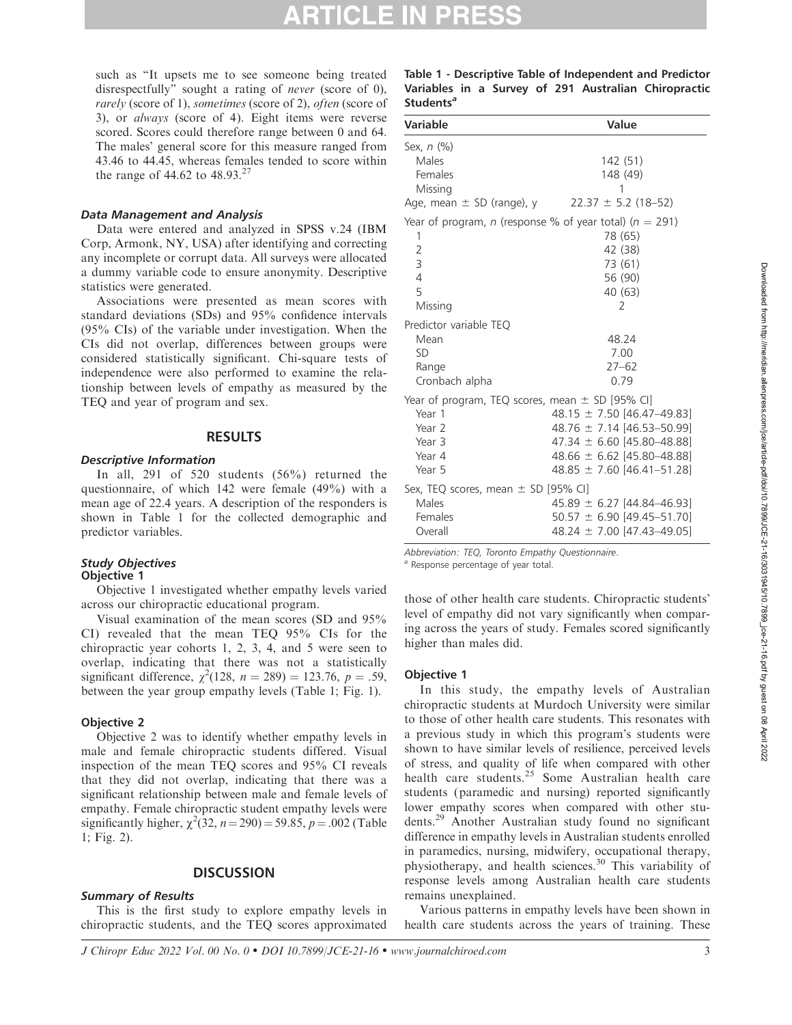such as ''It upsets me to see someone being treated disrespectfully'' sought a rating of never (score of 0), rarely (score of 1), sometimes (score of 2), often (score of 3), or always (score of 4). Eight items were reverse scored. Scores could therefore range between 0 and 64. The males' general score for this measure ranged from 43.46 to 44.45, whereas females tended to score within the range of 44.62 to  $48.93^{27}$ 

#### Data Management and Analysis

Data were entered and analyzed in SPSS v.24 (IBM Corp, Armonk, NY, USA) after identifying and correcting any incomplete or corrupt data. All surveys were allocated a dummy variable code to ensure anonymity. Descriptive statistics were generated.

Associations were presented as mean scores with standard deviations (SDs) and 95% confidence intervals (95% CIs) of the variable under investigation. When the CIs did not overlap, differences between groups were considered statistically significant. Chi-square tests of independence were also performed to examine the relationship between levels of empathy as measured by the TEQ and year of program and sex.

#### RESULTS

#### Descriptive Information

In all, 291 of 520 students (56%) returned the questionnaire, of which 142 were female (49%) with a mean age of 22.4 years. A description of the responders is shown in Table 1 for the collected demographic and predictor variables.

### Study Objectives

#### Objective 1

Objective 1 investigated whether empathy levels varied across our chiropractic educational program.

Visual examination of the mean scores (SD and 95% CI) revealed that the mean TEQ 95% CIs for the chiropractic year cohorts 1, 2, 3, 4, and 5 were seen to overlap, indicating that there was not a statistically significant difference,  $\chi^2(128, n = 289) = 123.76, p = .59,$ between the year group empathy levels (Table 1; Fig. 1).

#### Objective 2

Objective 2 was to identify whether empathy levels in male and female chiropractic students differed. Visual inspection of the mean TEQ scores and 95% CI reveals that they did not overlap, indicating that there was a significant relationship between male and female levels of empathy. Female chiropractic student empathy levels were significantly higher,  $\chi^2(32, n=290) = 59.85, p = .002$  (Table 1; Fig. 2).

#### **DISCUSSION**

#### Summary of Results

This is the first study to explore empathy levels in chiropractic students, and the TEQ scores approximated

|                       |  |  |  | Table 1 - Descriptive Table of Independent and Predictor |
|-----------------------|--|--|--|----------------------------------------------------------|
|                       |  |  |  | Variables in a Survey of 291 Australian Chiropractic     |
| Students <sup>a</sup> |  |  |  |                                                          |

| Variable                                                                                              | Value                                                                                                                                                                  |
|-------------------------------------------------------------------------------------------------------|------------------------------------------------------------------------------------------------------------------------------------------------------------------------|
| Sex, $n$ $\left(\frac{9}{6}\right)$<br>Males<br>Females<br>Missing<br>Age, mean $\pm$ SD (range), y   | 142 (51)<br>148 (49)<br>$22.37 \pm 5.2$ (18–52)                                                                                                                        |
| 1<br>$\overline{2}$<br>3<br>$\overline{4}$<br>5<br>Missing                                            | Year of program, n (response % of year total) ( $n = 291$ )<br>78 (65)<br>42 (38)<br>73 (61)<br>56 (90)<br>40 (63)<br>2                                                |
| Predictor variable TEQ<br>Mean<br><b>SD</b><br>Range<br>Cronbach alpha                                | 48.24<br>7.00<br>$27 - 62$<br>0.79                                                                                                                                     |
| Year of program, TEQ scores, mean $\pm$ SD [95% CI]<br>Year 1<br>Year 2<br>Year 3<br>Year 4<br>Year 5 | 48.15 $\pm$ 7.50 [46.47-49.83]<br>48.76 $\pm$ 7.14 [46.53-50.99]<br>47.34 $\pm$ 6.60 [45.80-48.88]<br>48.66 $\pm$ 6.62 [45.80-48.88]<br>$48.85 \pm 7.60$ [46.41-51.28] |
| Sex, TEQ scores, mean $\pm$ SD [95% CI]<br>Males<br>Females<br>Overall                                | $45.89 \pm 6.27$ [44.84-46.93]<br>$50.57 \pm 6.90$ [49.45-51.70]<br>48.24 $\pm$ 7.00 [47.43-49.05]                                                                     |

Abbreviation: TEQ, Toronto Empathy Questionnaire.

<sup>a</sup> Response percentage of year total.

those of other health care students. Chiropractic students' level of empathy did not vary significantly when comparing across the years of study. Females scored significantly higher than males did.

#### Objective 1

In this study, the empathy levels of Australian chiropractic students at Murdoch University were similar to those of other health care students. This resonates with a previous study in which this program's students were shown to have similar levels of resilience, perceived levels of stress, and quality of life when compared with other health care students.<sup>25</sup> Some Australian health care students (paramedic and nursing) reported significantly lower empathy scores when compared with other students.29 Another Australian study found no significant difference in empathy levels in Australian students enrolled in paramedics, nursing, midwifery, occupational therapy, physiotherapy, and health sciences.<sup>30</sup> This variability of response levels among Australian health care students remains unexplained.

Various patterns in empathy levels have been shown in health care students across the years of training. These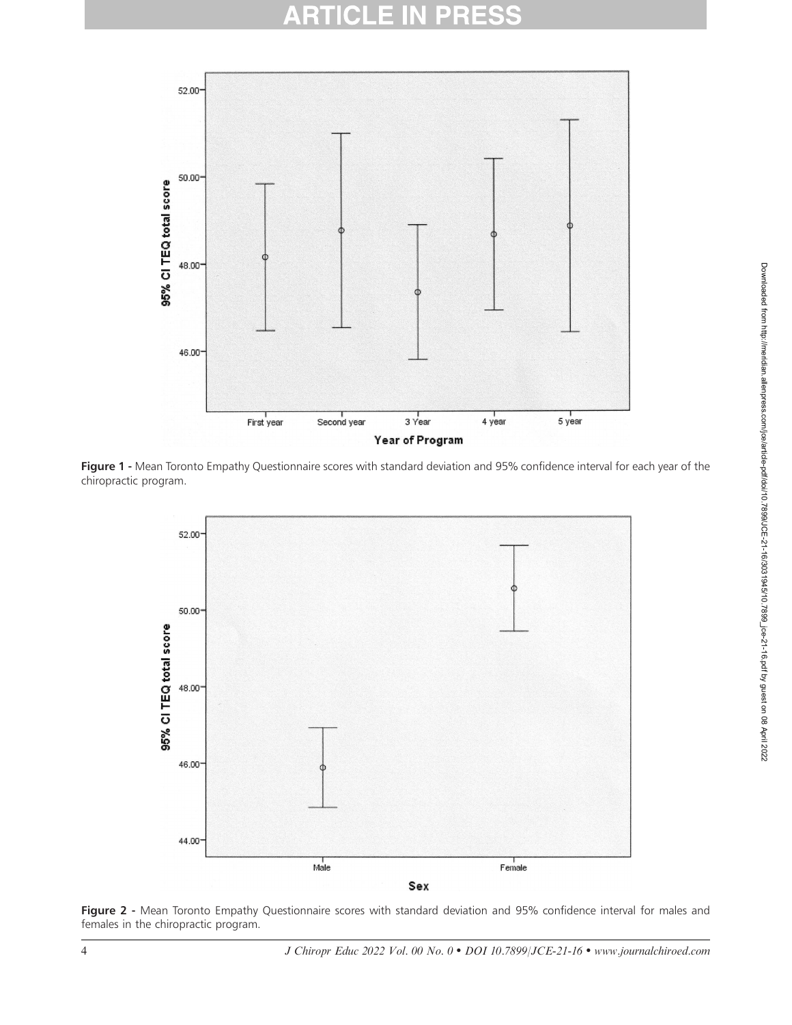# **ARTICLE IN PRES**



Figure 1 - Mean Toronto Empathy Questionnaire scores with standard deviation and 95% confidence interval for each year of the chiropractic program.



Figure 2 - Mean Toronto Empathy Questionnaire scores with standard deviation and 95% confidence interval for males and females in the chiropractic program.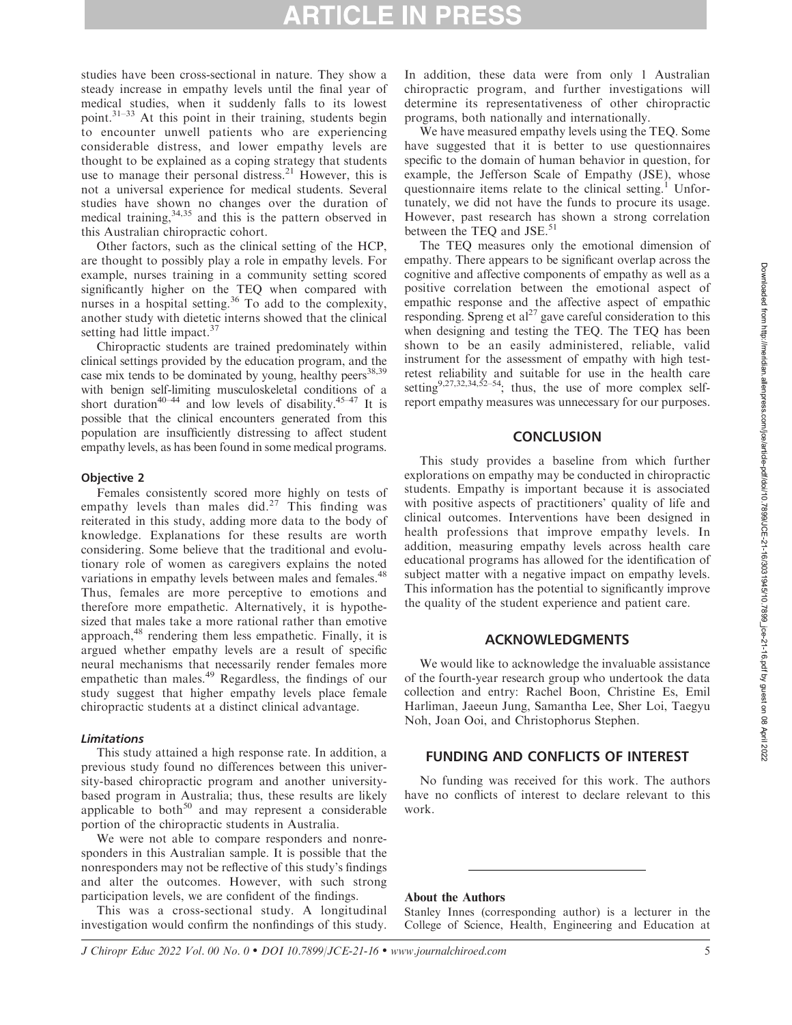# RTICLE IN PRI

studies have been cross-sectional in nature. They show a steady increase in empathy levels until the final year of medical studies, when it suddenly falls to its lowest point.31–33 At this point in their training, students begin to encounter unwell patients who are experiencing considerable distress, and lower empathy levels are thought to be explained as a coping strategy that students use to manage their personal distress.<sup>21</sup> However, this is not a universal experience for medical students. Several studies have shown no changes over the duration of medical training,<sup>34,35</sup> and this is the pattern observed in this Australian chiropractic cohort.

Other factors, such as the clinical setting of the HCP, are thought to possibly play a role in empathy levels. For example, nurses training in a community setting scored significantly higher on the TEQ when compared with nurses in a hospital setting.<sup>36</sup> To add to the complexity, another study with dietetic interns showed that the clinical setting had little impact. $37$ 

Chiropractic students are trained predominately within clinical settings provided by the education program, and the case mix tends to be dominated by young, healthy peers<sup>38,39</sup> with benign self-limiting musculoskeletal conditions of a short duration<sup>40–44</sup> and low levels of disability.<sup>45–47</sup> It is possible that the clinical encounters generated from this population are insufficiently distressing to affect student empathy levels, as has been found in some medical programs.

#### Objective 2

Females consistently scored more highly on tests of empathy levels than males did.<sup>27</sup> This finding was reiterated in this study, adding more data to the body of knowledge. Explanations for these results are worth considering. Some believe that the traditional and evolutionary role of women as caregivers explains the noted variations in empathy levels between males and females.<sup>48</sup> Thus, females are more perceptive to emotions and therefore more empathetic. Alternatively, it is hypothesized that males take a more rational rather than emotive approach,<sup>48</sup> rendering them less empathetic. Finally, it is argued whether empathy levels are a result of specific neural mechanisms that necessarily render females more empathetic than males.<sup>49</sup> Regardless, the findings of our study suggest that higher empathy levels place female chiropractic students at a distinct clinical advantage.

#### Limitations

This study attained a high response rate. In addition, a previous study found no differences between this university-based chiropractic program and another universitybased program in Australia; thus, these results are likely applicable to both $50$  and may represent a considerable portion of the chiropractic students in Australia.

We were not able to compare responders and nonresponders in this Australian sample. It is possible that the nonresponders may not be reflective of this study's findings and alter the outcomes. However, with such strong participation levels, we are confident of the findings.

This was a cross-sectional study. A longitudinal investigation would confirm the nonfindings of this study.

In addition, these data were from only 1 Australian chiropractic program, and further investigations will determine its representativeness of other chiropractic programs, both nationally and internationally.

We have measured empathy levels using the TEQ. Some have suggested that it is better to use questionnaires specific to the domain of human behavior in question, for example, the Jefferson Scale of Empathy (JSE), whose questionnaire items relate to the clinical setting.<sup>1</sup> Unfortunately, we did not have the funds to procure its usage. However, past research has shown a strong correlation between the TEQ and JSE.<sup>51</sup>

The TEQ measures only the emotional dimension of empathy. There appears to be significant overlap across the cognitive and affective components of empathy as well as a positive correlation between the emotional aspect of empathic response and the affective aspect of empathic responding. Spreng et  $al^{27}$  gave careful consideration to this when designing and testing the TEQ. The TEQ has been shown to be an easily administered, reliable, valid instrument for the assessment of empathy with high testretest reliability and suitable for use in the health care setting<sup>9,27,32,34,52–54</sup>; thus, the use of more complex selfreport empathy measures was unnecessary for our purposes.

#### **CONCLUSION**

This study provides a baseline from which further explorations on empathy may be conducted in chiropractic students. Empathy is important because it is associated with positive aspects of practitioners' quality of life and clinical outcomes. Interventions have been designed in health professions that improve empathy levels. In addition, measuring empathy levels across health care educational programs has allowed for the identification of subject matter with a negative impact on empathy levels. This information has the potential to significantly improve the quality of the student experience and patient care.

### ACKNOWLEDGMENTS

We would like to acknowledge the invaluable assistance of the fourth-year research group who undertook the data collection and entry: Rachel Boon, Christine Es, Emil Harliman, Jaeeun Jung, Samantha Lee, Sher Loi, Taegyu Noh, Joan Ooi, and Christophorus Stephen.

# FUNDING AND CONFLICTS OF INTEREST

No funding was received for this work. The authors have no conflicts of interest to declare relevant to this work.

### About the Authors

Stanley Innes (corresponding author) is a lecturer in the College of Science, Health, Engineering and Education at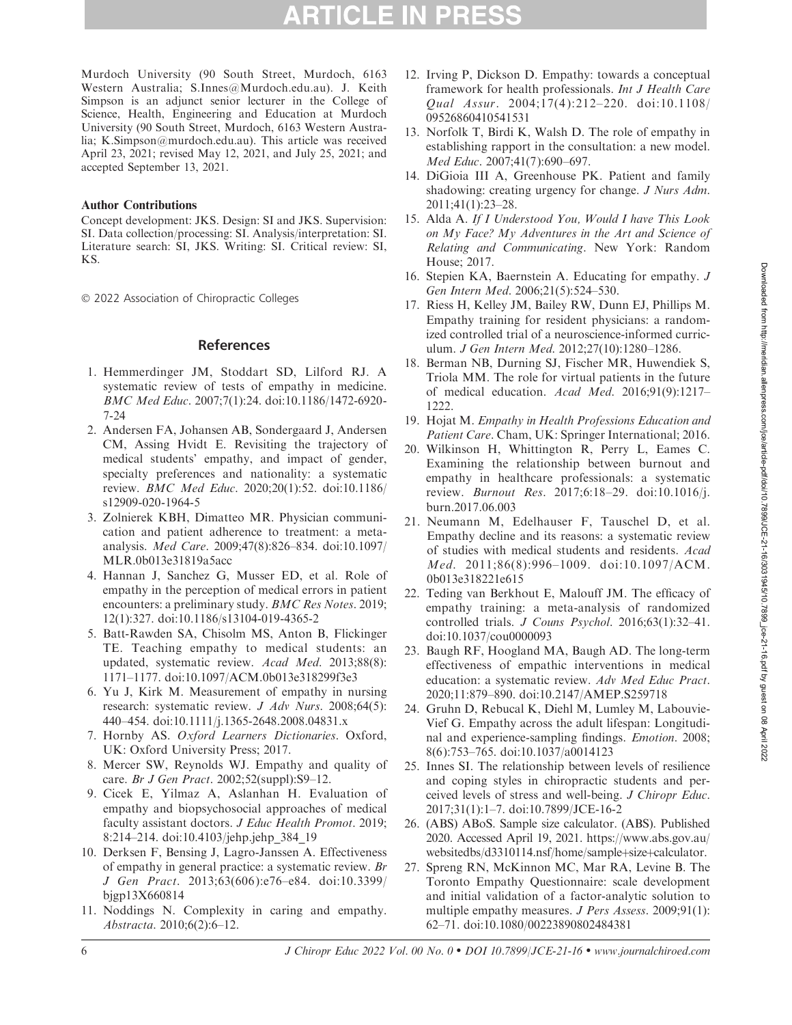Murdoch University (90 South Street, Murdoch, 6163 Western Australia; S.Innes@Murdoch.edu.au). J. Keith Simpson is an adjunct senior lecturer in the College of Science, Health, Engineering and Education at Murdoch University (90 South Street, Murdoch, 6163 Western Australia; K.Simpson@murdoch.edu.au). This article was received April 23, 2021; revised May 12, 2021, and July 25, 2021; and accepted September 13, 2021.

#### Author Contributions

Concept development: JKS. Design: SI and JKS. Supervision: SI. Data collection/processing: SI. Analysis/interpretation: SI. Literature search: SI, JKS. Writing: SI. Critical review: SI, KS.

- 2022 Association of Chiropractic Colleges

# References

- 1. Hemmerdinger JM, Stoddart SD, Lilford RJ. A systematic review of tests of empathy in medicine. BMC Med Educ. 2007;7(1):24. doi:10.1186/1472-6920- 7-24
- 2. Andersen FA, Johansen AB, Sondergaard J, Andersen CM, Assing Hvidt E. Revisiting the trajectory of medical students' empathy, and impact of gender, specialty preferences and nationality: a systematic review. BMC Med Educ. 2020;20(1):52. doi:10.1186/ s12909-020-1964-5
- 3. Zolnierek KBH, Dimatteo MR. Physician communication and patient adherence to treatment: a metaanalysis. Med Care. 2009;47(8):826–834. doi:10.1097/ MLR.0b013e31819a5acc
- 4. Hannan J, Sanchez G, Musser ED, et al. Role of empathy in the perception of medical errors in patient encounters: a preliminary study. BMC Res Notes. 2019; 12(1):327. doi:10.1186/s13104-019-4365-2
- 5. Batt-Rawden SA, Chisolm MS, Anton B, Flickinger TE. Teaching empathy to medical students: an updated, systematic review. Acad Med. 2013;88(8): 1171–1177. doi:10.1097/ACM.0b013e318299f3e3
- 6. Yu J, Kirk M. Measurement of empathy in nursing research: systematic review. *J Adv Nurs.* 2008;64(5): 440–454. doi:10.1111/j.1365-2648.2008.04831.x
- 7. Hornby AS. Oxford Learners Dictionaries. Oxford, UK: Oxford University Press; 2017.
- 8. Mercer SW, Reynolds WJ. Empathy and quality of care. Br J Gen Pract. 2002;52(suppl):S9–12.
- 9. Cicek E, Yilmaz A, Aslanhan H. Evaluation of empathy and biopsychosocial approaches of medical faculty assistant doctors. *J Educ Health Promot*. 2019; 8:214–214. doi:10.4103/jehp.jehp\_384\_19
- 10. Derksen F, Bensing J, Lagro-Janssen A. Effectiveness of empathy in general practice: a systematic review. Br J Gen Pract. 2013;63(606):e76–e84. doi:10.3399/ bjgp13X660814
- 11. Noddings N. Complexity in caring and empathy. Abstracta. 2010;6(2):6–12.
- 12. Irving P, Dickson D. Empathy: towards a conceptual framework for health professionals. Int J Health Care Qual Assur. 2004;17(4):212–220. doi:10.1108/ 09526860410541531
- 13. Norfolk T, Birdi K, Walsh D. The role of empathy in establishing rapport in the consultation: a new model. Med Educ. 2007;41(7):690–697.
- 14. DiGioia III A, Greenhouse PK. Patient and family shadowing: creating urgency for change. J Nurs Adm. 2011;41(1):23–28.
- 15. Alda A. If I Understood You, Would I have This Look on My Face? My Adventures in the Art and Science of Relating and Communicating. New York: Random House; 2017.
- 16. Stepien KA, Baernstein A. Educating for empathy. J Gen Intern Med. 2006;21(5):524–530.
- 17. Riess H, Kelley JM, Bailey RW, Dunn EJ, Phillips M. Empathy training for resident physicians: a randomized controlled trial of a neuroscience-informed curriculum. J Gen Intern Med. 2012;27(10):1280–1286.
- 18. Berman NB, Durning SJ, Fischer MR, Huwendiek S, Triola MM. The role for virtual patients in the future of medical education. Acad Med. 2016;91(9):1217– 1222.
- 19. Hojat M. Empathy in Health Professions Education and Patient Care. Cham, UK: Springer International; 2016.
- 20. Wilkinson H, Whittington R, Perry L, Eames C. Examining the relationship between burnout and empathy in healthcare professionals: a systematic review. Burnout Res. 2017;6:18–29. doi:10.1016/j. burn.2017.06.003
- 21. Neumann M, Edelhauser F, Tauschel D, et al. Empathy decline and its reasons: a systematic review of studies with medical students and residents. Acad Med. 2011;86(8):996–1009. doi:10.1097/ACM. 0b013e318221e615
- 22. Teding van Berkhout E, Malouff JM. The efficacy of empathy training: a meta-analysis of randomized controlled trials. J Couns Psychol. 2016;63(1):32–41. doi:10.1037/cou0000093
- 23. Baugh RF, Hoogland MA, Baugh AD. The long-term effectiveness of empathic interventions in medical education: a systematic review. Adv Med Educ Pract. 2020;11:879–890. doi:10.2147/AMEP.S259718
- 24. Gruhn D, Rebucal K, Diehl M, Lumley M, Labouvie-Vief G. Empathy across the adult lifespan: Longitudinal and experience-sampling findings. Emotion. 2008; 8(6):753–765. doi:10.1037/a0014123
- 25. Innes SI. The relationship between levels of resilience and coping styles in chiropractic students and perceived levels of stress and well-being. J Chiropr Educ. 2017;31(1):1–7. doi:10.7899/JCE-16-2
- 26. (ABS) ABoS. Sample size calculator. (ABS). Published 2020. Accessed April 19, 2021. https://www.abs.gov.au/ websitedbs/d3310114.nsf/home/sample+size+calculator.
- 27. Spreng RN, McKinnon MC, Mar RA, Levine B. The Toronto Empathy Questionnaire: scale development and initial validation of a factor-analytic solution to multiple empathy measures. J Pers Assess. 2009;91(1): 62–71. doi:10.1080/00223890802484381